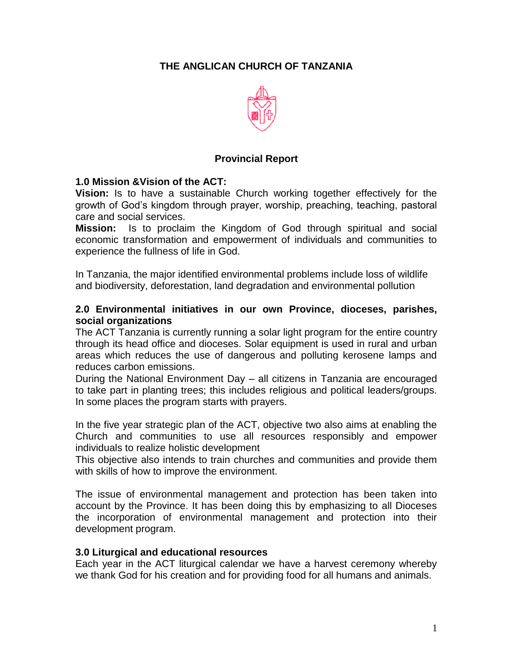# **THE ANGLICAN CHURCH OF TANZANIA**



### **Provincial Report**

### **1.0 Mission &Vision of the ACT:**

**Vision:** Is to have a sustainable Church working together effectively for the growth of God's kingdom through prayer, worship, preaching, teaching, pastoral care and social services.

**Mission:** Is to proclaim the Kingdom of God through spiritual and social economic transformation and empowerment of individuals and communities to experience the fullness of life in God.

In Tanzania, the major identified environmental problems include loss of wildlife and biodiversity, deforestation, land degradation and environmental pollution

### **2.0 Environmental initiatives in our own Province, dioceses, parishes, social organizations**

The ACT Tanzania is currently running a solar light program for the entire country through its head office and dioceses. Solar equipment is used in rural and urban areas which reduces the use of dangerous and polluting kerosene lamps and reduces carbon emissions.

During the National Environment Day – all citizens in Tanzania are encouraged to take part in planting trees; this includes religious and political leaders/groups. In some places the program starts with prayers.

In the five year strategic plan of the ACT, objective two also aims at enabling the Church and communities to use all resources responsibly and empower individuals to realize holistic development

This objective also intends to train churches and communities and provide them with skills of how to improve the environment.

The issue of environmental management and protection has been taken into account by the Province. It has been doing this by emphasizing to all Dioceses the incorporation of environmental management and protection into their development program.

### **3.0 Liturgical and educational resources**

Each year in the ACT liturgical calendar we have a harvest ceremony whereby we thank God for his creation and for providing food for all humans and animals.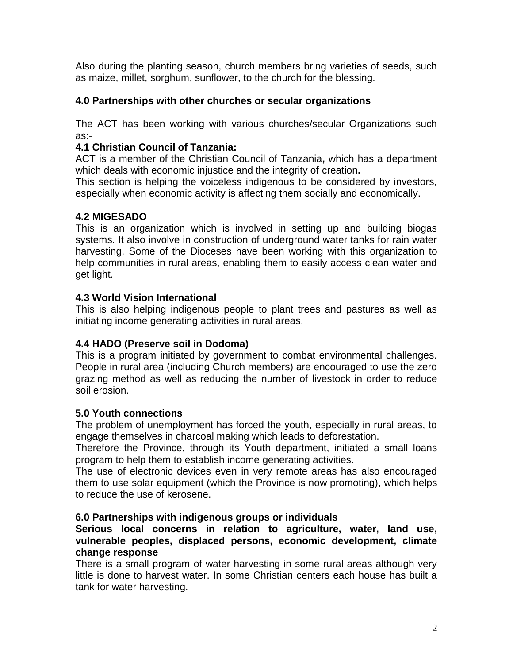Also during the planting season, church members bring varieties of seeds, such as maize, millet, sorghum, sunflower, to the church for the blessing.

### **4.0 Partnerships with other churches or secular organizations**

The ACT has been working with various churches/secular Organizations such as:-

## **4.1 Christian Council of Tanzania:**

ACT is a member of the Christian Council of Tanzania**,** which has a department which deals with economic injustice and the integrity of creation**.** 

This section is helping the voiceless indigenous to be considered by investors, especially when economic activity is affecting them socially and economically.

## **4.2 MIGESADO**

This is an organization which is involved in setting up and building biogas systems. It also involve in construction of underground water tanks for rain water harvesting. Some of the Dioceses have been working with this organization to help communities in rural areas, enabling them to easily access clean water and get light.

## **4.3 World Vision International**

This is also helping indigenous people to plant trees and pastures as well as initiating income generating activities in rural areas.

## **4.4 HADO (Preserve soil in Dodoma)**

This is a program initiated by government to combat environmental challenges. People in rural area (including Church members) are encouraged to use the zero grazing method as well as reducing the number of livestock in order to reduce soil erosion.

### **5.0 Youth connections**

The problem of unemployment has forced the youth, especially in rural areas, to engage themselves in charcoal making which leads to deforestation.

Therefore the Province, through its Youth department, initiated a small loans program to help them to establish income generating activities.

The use of electronic devices even in very remote areas has also encouraged them to use solar equipment (which the Province is now promoting), which helps to reduce the use of kerosene.

### **6.0 Partnerships with indigenous groups or individuals**

### **Serious local concerns in relation to agriculture, water, land use, vulnerable peoples, displaced persons, economic development, climate change response**

There is a small program of water harvesting in some rural areas although very little is done to harvest water. In some Christian centers each house has built a tank for water harvesting.